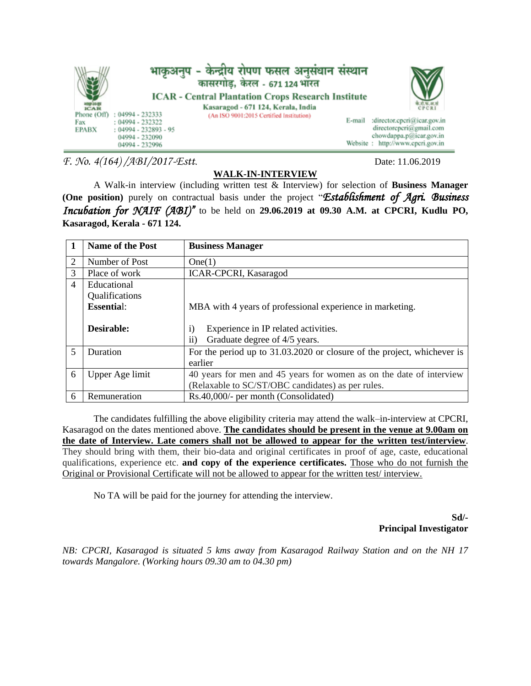

*F. No. 4(164) /ABI/2017-Estt*. Date: 11.06.2019

## **WALK-IN-INTERVIEW**

A Walk-in interview (including written test & Interview) for selection of **Business Manager (One position)** purely on contractual basis under the project "*Establishment of Agri. Business Incubation for NAIF (ABI)"* to be held on **29.06.2019 at 09.30 A.M. at CPCRI, Kudlu PO, Kasaragod, Kerala - 671 124.**

|                | Name of the Post  | <b>Business Manager</b>                                                 |
|----------------|-------------------|-------------------------------------------------------------------------|
| 2              | Number of Post    | One(1)                                                                  |
| 3              | Place of work     | <b>ICAR-CPCRI, Kasaragod</b>                                            |
| $\overline{4}$ | Educational       |                                                                         |
|                | Qualifications    |                                                                         |
|                | <b>Essential:</b> | MBA with 4 years of professional experience in marketing.               |
|                |                   |                                                                         |
|                | Desirable:        | Experience in IP related activities.<br>$\mathbf{i}$                    |
|                |                   | Graduate degree of 4/5 years.<br>$\overline{11}$                        |
| 5              | <b>Duration</b>   | For the period up to 31.03.2020 or closure of the project, whichever is |
|                |                   | earlier                                                                 |
| 6              | Upper Age limit   | 40 years for men and 45 years for women as on the date of interview     |
|                |                   | (Relaxable to SC/ST/OBC candidates) as per rules.                       |
| 6              | Remuneration      | Rs.40,000/- per month (Consolidated)                                    |

The candidates fulfilling the above eligibility criteria may attend the walk–in-interview at CPCRI, Kasaragod on the dates mentioned above. **The candidates should be present in the venue at 9.00am on the date of Interview. Late comers shall not be allowed to appear for the written test/interview**. They should bring with them, their bio-data and original certificates in proof of age, caste, educational qualifications, experience etc. **and copy of the experience certificates.** Those who do not furnish the Original or Provisional Certificate will not be allowed to appear for the written test/ interview.

No TA will be paid for the journey for attending the interview.

**Sd/- Principal Investigator**

*NB: CPCRI, Kasaragod is situated 5 kms away from Kasaragod Railway Station and on the NH 17 towards Mangalore. (Working hours 09.30 am to 04.30 pm)*